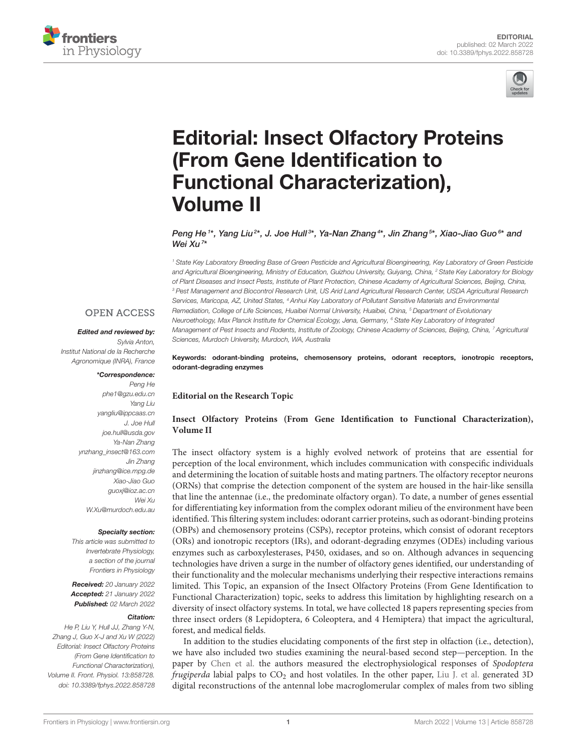



# [Editorial: Insect Olfactory Proteins](https://www.frontiersin.org/articles/10.3389/fphys.2022.858728/full) (From Gene Identification to Functional Characterization), Volume II

Peng He<sup>1\*</sup>, Yang Liu<sup>2\*</sup>, J. Joe Hull<sup>3\*</sup>, Ya-Nan Zhang<sup>4\*</sup>, Jin Zhang<sup>5\*</sup>, Xiao-Jiao Guo<sup>6\*</sup> and Wei Xu<sup>7</sup> \*

*<sup>1</sup> State Key Laboratory Breeding Base of Green Pesticide and Agricultural Bioengineering, Key Laboratory of Green Pesticide and Agricultural Bioengineering, Ministry of Education, Guizhou University, Guiyang, China, <sup>2</sup> State Key Laboratory for Biology of Plant Diseases and Insect Pests, Institute of Plant Protection, Chinese Academy of Agricultural Sciences, Beijing, China, <sup>3</sup> Pest Management and Biocontrol Research Unit, US Arid Land Agricultural Research Center, USDA Agricultural Research Services, Maricopa, AZ, United States, <sup>4</sup> Anhui Key Laboratory of Pollutant Sensitive Materials and Environmental Remediation, College of Life Sciences, Huaibei Normal University, Huaibei, China, <sup>5</sup> Department of Evolutionary Neuroethology, Max Planck Institute for Chemical Ecology, Jena, Germany, <sup>6</sup> State Key Laboratory of Integrated Management of Pest Insects and Rodents, Institute of Zoology, Chinese Academy of Sciences, Beijing, China, <sup>7</sup> Agricultural Sciences, Murdoch University, Murdoch, WA, Australia*

#### **OPEN ACCESS**

#### Edited and reviewed by:

*Sylvia Anton, Institut National de la Recherche Agronomique (INRA), France*

#### \*Correspondence:

*Peng He [phe1@gzu.edu.cn](mailto:phe1@gzu.edu.cn) Yang Liu [yangliu@ippcaas.cn](mailto:yangliu@ippcaas.cn) J. Joe Hull [joe.hull@usda.gov](mailto:joe.hull@usda.gov) Ya-Nan Zhang [ynzhang\\_insect@163.com](mailto:ynzhang_insect@163.com) Jin Zhang [jinzhang@ice.mpg.de](mailto:jinzhang@ice.mpg.de) Xiao-Jiao Guo [guoxj@ioz.ac.cn](mailto:guoxj@ioz.ac.cn) Wei Xu [W.Xu@murdoch.edu.au](mailto:W.Xu@murdoch.edu.au)*

#### Specialty section:

*This article was submitted to Invertebrate Physiology, a section of the journal Frontiers in Physiology*

Received: *20 January 2022* Accepted: *21 January 2022* Published: *02 March 2022*

#### Citation:

*He P, Liu Y, Hull JJ, Zhang Y-N, Zhang J, Guo X-J and Xu W (2022) Editorial: Insect Olfactory Proteins (From Gene Identification to Functional Characterization), Volume II. Front. Physiol. 13:858728. doi: [10.3389/fphys.2022.858728](https://doi.org/10.3389/fphys.2022.858728)*

Keywords: odorant-binding proteins, chemosensory proteins, odorant receptors, ionotropic receptors, odorant-degrading enzymes

#### **Editorial on the Research Topic**

#### **[Insect Olfactory Proteins \(From Gene Identification to Functional Characterization\),](https://www.frontiersin.org/research-topics/17226/insect-olfactory-proteins-from-gene-identification-to-functional-characterization-volume-ii) Volume II**

The insect olfactory system is a highly evolved network of proteins that are essential for perception of the local environment, which includes communication with conspecific individuals and determining the location of suitable hosts and mating partners. The olfactory receptor neurons (ORNs) that comprise the detection component of the system are housed in the hair-like sensilla that line the antennae (i.e., the predominate olfactory organ). To date, a number of genes essential for differentiating key information from the complex odorant milieu of the environment have been identified. This filtering system includes: odorant carrier proteins, such as odorant-binding proteins (OBPs) and chemosensory proteins (CSPs), receptor proteins, which consist of odorant receptors (ORs) and ionotropic receptors (IRs), and odorant-degrading enzymes (ODEs) including various enzymes such as carboxylesterases, P450, oxidases, and so on. Although advances in sequencing technologies have driven a surge in the number of olfactory genes identified, our understanding of their functionality and the molecular mechanisms underlying their respective interactions remains limited. This Topic, an expansion of the Insect Olfactory Proteins (From Gene Identification to Functional Characterization) topic, seeks to address this limitation by highlighting research on a diversity of insect olfactory systems. In total, we have collected 18 papers representing species from three insect orders (8 Lepidoptera, 6 Coleoptera, and 4 Hemiptera) that impact the agricultural, forest, and medical fields.

In addition to the studies elucidating components of the first step in olfaction (i.e., detection), we have also included two studies examining the neural-based second step—perception. In the paper by [Chen et al.](https://doi.org/10.3389/fphys.2021.680697) the authors measured the electrophysiological responses of Spodoptera frugiperda labial palps to  $CO<sub>2</sub>$  and host volatiles. In the other paper, [Liu J. et al.](https://doi.org/10.3389/fphys.2021.685012) generated 3D digital reconstructions of the antennal lobe macroglomerular complex of males from two sibling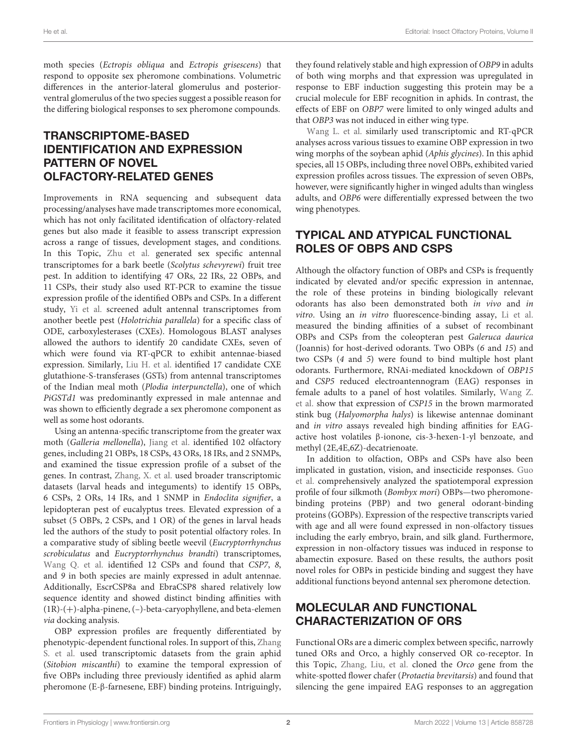moth species (Ectropis obliqua and Ectropis grisescens) that respond to opposite sex pheromone combinations. Volumetric differences in the anterior-lateral glomerulus and posteriorventral glomerulus of the two species suggest a possible reason for the differing biological responses to sex pheromone compounds.

### TRANSCRIPTOME-BASED IDENTIFICATION AND EXPRESSION PATTERN OF NOVEL OLFACTORY-RELATED GENES

Improvements in RNA sequencing and subsequent data processing/analyses have made transcriptomes more economical, which has not only facilitated identification of olfactory-related genes but also made it feasible to assess transcript expression across a range of tissues, development stages, and conditions. In this Topic, [Zhu et al.](https://doi.org/10.3389/fphys.2021.717698) generated sex specific antennal transcriptomes for a bark beetle (Scolytus schevyrewi) fruit tree pest. In addition to identifying 47 ORs, 22 IRs, 22 OBPs, and 11 CSPs, their study also used RT-PCR to examine the tissue expression profile of the identified OBPs and CSPs. In a different study, [Yi et al.](https://doi.org/10.3389/fphys.2021.674023) screened adult antennal transcriptomes from another beetle pest (Holotrichia parallela) for a specific class of ODE, carboxylesterases (CXEs). Homologous BLAST analyses allowed the authors to identify 20 candidate CXEs, seven of which were found via RT-qPCR to exhibit antennae-biased expression. Similarly, [Liu H. et al.](https://doi.org/10.3389/fphys.2021.727619) identified 17 candidate CXE glutathione-S-transferases (GSTs) from antennal transcriptomes of the Indian meal moth (Plodia interpunctella), one of which PiGSTd1 was predominantly expressed in male antennae and was shown to efficiently degrade a sex pheromone component as well as some host odorants.

Using an antenna-specific transcriptome from the greater wax moth (Galleria mellonella), [Jiang et al.](https://doi.org/10.3389/fphys.2021.663040) identified 102 olfactory genes, including 21 OBPs, 18 CSPs, 43 ORs, 18 IRs, and 2 SNMPs, and examined the tissue expression profile of a subset of the genes. In contrast, [Zhang, X. et al.](https://doi.org/10.3389/fphys.2021.682537) used broader transcriptomic datasets (larval heads and integuments) to identify 15 OBPs, 6 CSPs, 2 ORs, 14 IRs, and 1 SNMP in Endoclita signifier, a lepidopteran pest of eucalyptus trees. Elevated expression of a subset (5 OBPs, 2 CSPs, and 1 OR) of the genes in larval heads led the authors of the study to posit potential olfactory roles. In a comparative study of sibling beetle weevil (Eucryptorrhynchus scrobiculatus and Eucryptorrhynchus brandti) transcriptomes, [Wang Q. et al.](https://doi.org/10.3389/fphys.2021.661310) identified 12 CSPs and found that CSP7, 8, and 9 in both species are mainly expressed in adult antennae. Additionally, EscrCSP8a and EbraCSP8 shared relatively low sequence identity and showed distinct binding affinities with (1R)-(+)-alpha-pinene, (–)-beta-caryophyllene, and beta-elemen via docking analysis.

OBP expression profiles are frequently differentiated by [phenotypic-dependent functional roles. In support of this,](https://doi.org/10.3389/fphys.2021.732578) Zhang S. et al. used transcriptomic datasets from the grain aphid (Sitobion miscanthi) to examine the temporal expression of five OBPs including three previously identified as aphid alarm pheromone (E-β-farnesene, EBF) binding proteins. Intriguingly, they found relatively stable and high expression of OBP9 in adults of both wing morphs and that expression was upregulated in response to EBF induction suggesting this protein may be a crucial molecule for EBF recognition in aphids. In contrast, the effects of EBF on OBP7 were limited to only winged adults and that OBP3 was not induced in either wing type.

[Wang L. et al.](https://doi.org/10.3389/fphys.2021.702973) similarly used transcriptomic and RT-qPCR analyses across various tissues to examine OBP expression in two wing morphs of the soybean aphid (Aphis glycines). In this aphid species, all 15 OBPs, including three novel OBPs, exhibited varied expression profiles across tissues. The expression of seven OBPs, however, were significantly higher in winged adults than wingless adults, and OBP6 were differentially expressed between the two wing phenotypes.

### TYPICAL AND ATYPICAL FUNCTIONAL ROLES OF OBPS AND CSPS

Although the olfactory function of OBPs and CSPs is frequently indicated by elevated and/or specific expression in antennae, the role of these proteins in binding biologically relevant odorants has also been demonstrated both in vivo and in vitro. Using an in vitro fluorescence-binding assay, [Li et al.](https://doi.org/10.3389/fphys.2021.678698) measured the binding affinities of a subset of recombinant OBPs and CSPs from the coleopteran pest Galeruca daurica (Joannis) for host-derived odorants. Two OBPs (6 and 15) and two CSPs (4 and 5) were found to bind multiple host plant odorants. Furthermore, RNAi-mediated knockdown of OBP15 and CSP5 reduced electroantennogram (EAG) responses in [female adults to a panel of host volatiles. Similarly,](https://doi.org/10.3389/fphys.2021.721247) Wang Z. et al. show that expression of CSP15 in the brown marmorated stink bug (Halyomorpha halys) is likewise antennae dominant and in vitro assays revealed high binding affinities for EAGactive host volatiles β-ionone, cis-3-hexen-1-yl benzoate, and methyl (2E,4E,6Z)-decatrienoate.

In addition to olfaction, OBPs and CSPs have also been [implicated in gustation, vision, and insecticide responses.](https://doi.org/10.3389/fphys.2021.712593) Guo et al. comprehensively analyzed the spatiotemporal expression profile of four silkmoth (Bombyx mori) OBPs—two pheromonebinding proteins (PBP) and two general odorant-binding proteins (GOBPs). Expression of the respective transcripts varied with age and all were found expressed in non-olfactory tissues including the early embryo, brain, and silk gland. Furthermore, expression in non-olfactory tissues was induced in response to abamectin exposure. Based on these results, the authors posit novel roles for OBPs in pesticide binding and suggest they have additional functions beyond antennal sex pheromone detection.

### MOLECULAR AND FUNCTIONAL CHARACTERIZATION OF ORS

Functional ORs are a dimeric complex between specific, narrowly tuned ORs and Orco, a highly conserved OR co-receptor. In this Topic, [Zhang, Liu, et al.](https://doi.org/10.3389/fphys.2021.649590) cloned the Orco gene from the white-spotted flower chafer (Protaetia brevitarsis) and found that silencing the gene impaired EAG responses to an aggregation